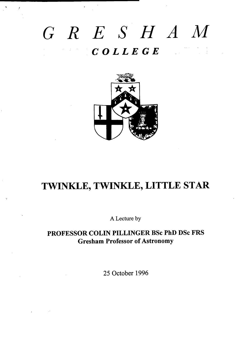# *GR E* s *H A M COLLEGE*

(



# **TWINUE, TWINDE, LITTLE STAR**

A Lecture by

**PROFESSOR COLIN PILLINGER BSC PhD DSC FRS Gresham Professor of Astronomy**

**25** October 1996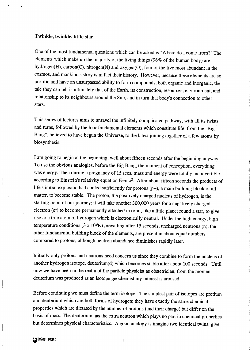#### **Twinkle, twinkle, little star**

One of the most fundamental questions which can be asked is "Where do I come from?" The elements which make up the majority of the living things (96% of the human body) are hydrogen(H), carbon(C), nitrogen(N) and oxygen(0), four of the five most abundant in the cosmos, and mankind's story is in fact their history. However, because these elements are so prolific and have an unsurpassed ability to form compounds, both organic and inorganic, the tale they can tell is ultimately that of the Earth, its construction, resources, environment, and relationship to its neighbours around the Sun, and in turn that body's connection to other stars.

This series of lectures aims to unravel the infinitely complicated pathway, with all its twists and turns, followed by the four fundamental elements which constitute life, from the "Big Bang", believed to have begun the Universe, to the latest joining together of a few atoms by biosynthesis.

I am going to begin at the beginning, well about fifteen seconds after the beginning anyway. To use the obvious analogies, before the Big Bang, the moment of conception, everything was energy. Then during a pregnancy of 15 sees, mass and energy were totally inconvertible according to Einstein's relativity equation E=mc2. After about fifteen seconds the products of life's initial explosion had cooled sufficiently for protons (p+), a main building block of all matter, to become stable. The proton, the positively charged nucleus of hydrogen, is the starting point of our journey; it will take another 300,000 years for a negatively charged electron (e-) to become permanently attached in orbit, like a little planet round a star, to give rise to a true atom of hydrogen which is electronically neutral. Under the high energy, high temperature conditions (3 x  $10^9$ K) prevailing after 15 seconds, uncharged neutrons (n), the other fundamental building block of the elements, are present in about equal numbers compared to protons, although neutron abundance diminishes rapidly later.

「大の家の家の !!!!!!

Initially only protons and neutrons need concern us since they combine to form the nucleus of another hydrogen isotope, deuterium(d) which becomes stable after about 100 seconds. Until now we have been in the realm of the particle physicist as obstetrician, from the moment deuterium was produced as an isotope geochemist my interest is aroused.

Before continuing we must define the term isotope. The simplest pair of isotopes are protium and deuterium which are both forms of hydrogen; they have exactly the same chernicd properties which are dictated by the number of protons (and their charge) but differ on the basis of mass. The deuterium has the extra neutron which plays no part in chemical properties but determines physical characteristics. A good analogy is imagine two identicd twins: give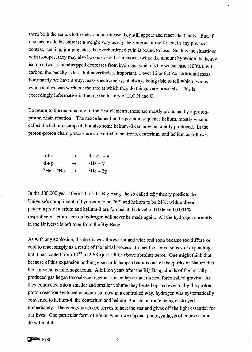them both the same clothes etc. and a suitcase they still appear and react identicdly. But, if one has inside his suitcase a weight very nearly the same as himself then, in any physical contest, running, jumping etc., the overburdened twin is bound to lose. Such is the situations with isotopes, they may also be considered as identical twins; the amount by which the heavy isotopic twin is handicapped decreases from hydrogen which is the worse case  $(100\%)$ ; with carbon, the penalty is less, but nevertheless important, 1 over 12 or 8.33% additional mass. Fortunately we have a way, mass spectrometry, of always being able to tell which twin is which and we can work out the rate at which they do things very precisely. This is exceedingly informative in tracing the history of H,C,N and O.

To return to the manufacture of the first elements, these are mostly produced by a protonproton chain reaction. The next element in the periodic sequence helium, mostly what is called the helium isotope 4, but also some helium  $-3$  can now be rapidly produced. In the proton-proton chain protons are converted to neutrons, deuterium, and helium as follows:

| $p + p$                   | $\rightarrow$ | $d + e^+ + v$          |
|---------------------------|---------------|------------------------|
| $d + p$                   | $\rightarrow$ | ${}^{3}$ He + $\gamma$ |
| ${}^{3}$ He + ${}^{3}$ He | $\rightarrow$ | $4He + 2p$             |

In the 300,000 year aftermath of the Big Bang, the so called  $\alpha\beta\gamma$  theory predicts the Universe's compliment of hydrogen to be 76% and helium to be 24%; within these percentages deuterium and helium-3 are formed at the level of 0.006 and 0.001% respectively. From here on hydrogen will never be made again. Ml the hydrogen currently in the Universe is left over from the Big Bang.

As with any explosion, the debris was thrown far and wide and soon became too diffuse or cool to react simply as a result of the initial process. In fact the Universe is still expanding but it has cooled from 10<sup>32</sup> to 2.6K (just a little above absolute zero). One might think that because of this expansion nothing else could happen but it is one of the quirks of Nature that the Universe is inhomogeneous. A billion years after the Big Bang clouds of the initially produced gas began to coalesce together and collapse under a new force called gravity. As they contracted into a smaller and smaller volume they heated up and eventually the protonproton reaction switched on again but now in a controlled way, hydrogen was systematically converted to helium-4, the deuterium and helium -3 made on route being destroyed immediately. The energy produced serves to heat the star and gives off the light essential for our lives. One particular form of life on which we depend, photosynthesis of course cannot do without it.

 $\overline{2}$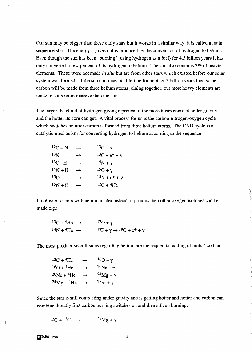Our sun may be bigger than these early stars but it works in a similar way; it is called a main sequence star. The energy it gives out is produced by the conversion of hydrogen to helium. Even though the sun has been "burning" (using hydrogen as a fuel) for 4.5 billion years it has only converted a few percent of its hydrogen to helium. The sun also contains 2% of heavier elements. These were not made *in situ* but are from other stars which existed before our solar system was formed. If the sun continues its lifetime for another 5 billion years then some carbon will be made from three helium atoms joining together, but most heavy elements are made in stars more massive than the sun.

The larger the cloud of hydrogen giving a protostar, the more it can contract under gravity and the hotter its core can get. A vital process for us is the carbon-nitrogen-oxygen cycle which switches on after carbon is formed from three helium atoms. The CNO cycle is a catalytic mechanism for converting hydrogen to helium according to the sequence:

| $12C + N$       | $\rightarrow$ | $13C + \gamma$    |
|-----------------|---------------|-------------------|
| 13 <sub>N</sub> | →             | $13C + e^{+} + V$ |
| $13C + H$       | $\rightarrow$ | $14N + \gamma$    |
| $14N + H$       | $\rightarrow$ | $15O + \gamma$    |
| 15 <sub>O</sub> | $\rightarrow$ | $15N + e^{+} + V$ |
| $15N + H$       | $\rightarrow$ | $12C + 4He$       |

If collision occurs with helium nuclei instead of protons then other oxygen isotopes can be made e.g.:

$$
{}^{13}C + {}^{4}He \rightarrow {}^{17}O + \gamma
$$
  

$$
{}^{14}N + {}^{4}He \rightarrow {}^{18}F + \gamma \rightarrow {}^{18}O + e^{+} + \gamma
$$

The most productive collisions regarding helium are the sequential adding of units 4 so that

 $12C + 4He$   $\rightarrow$   $16O + \gamma$  $16O + 4He$   $\rightarrow$   $20Ne + \gamma$  $20Ne + 4He \rightarrow 24Mg + \gamma$  $24Mg + 4He \rightarrow 28Si + \gamma$ 

Since the star is still contracting under gravity and is getting hotter and hotter and carbon can combine directly first carbon burning switches on and then silicon burning:

$$
^{12}C + ^{12}C \rightarrow {}^{24}Mg + \gamma
$$

 $Q$ **UNORY** PSRI 3

 $\bigg\}$ 

.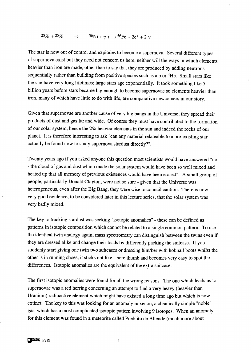#### $28Si + 28Si \rightarrow 56Ni + \gamma + \rightarrow 56Fe + 2e^+ + 2\gamma$

The star is now out of control and explodes to become a supernova. Several different types of supernova exist but they need not concern us here, neither will the ways in which elements heavier than iron are made, other than to say that they are produced by adding neutrons sequentially rather than building from positive species such as a p or  $4$ He. Small stars like the sun have very long lifetimes; large stars age exponentially. It took something like 5 billion years before stars became big enough to become supernovae so elements heavier than iron, many of which have little to do with life, are comparative newcomers in our story.

Given that supernovae are another cause of very big bangs in the Universe, they spread their products of dust and gas far and wide. Of course they must have contributed to the formation of our solar system, hence the 2% heavier elements in the sun and indeed the rocks of our planet. It is therefore interesting to ask "can any material relatable to a pre-existing star actually be found now to study supernova stardust directly?".

Twenty years ago if you asked anyone this question most scientists would have answered "no - the cloud of gas and dust which made the solar system would have been so well mixed and heated up that all memory of previous existences would have been erased". A small group of people, particularly Donald Clayton, were not so sure - given that the Universe was heterogeneous, even after the Big Bang, they were wise to council caution. There is now very good evidence, to be considered later in this lecture series, that the solar system was very badly mixed.

The key to tracking stardust was seeking "isotopic anomalies" - these can be defined as patterns in isotopic composition which cannot be related to a single common pattern. To use the identical twin analogy again, mass spectrometry can distinguish between the twins even if they are dressed dike and change their loads by differently packing the suitcase. If you suddenly start giving one twin two suitcases or dressing him/her with hobnail boots whilst the other is in running shoes, it sticks out like a sore thumb and becomes very easy to spot the differences. Isotopic anomalies are the equivalent of the extra suitcase.

The first isotopic anomalies were found for all the wrong reasons. The one which leads us to supernovae was a red herring concerning an attempt to find a very heavy (heavier than Uranium) radioactive element which might have existed a long time ago but which is now extinct. The key to this was looking for an anomaly in xenon, a chemically simple "noble" gas, which has a most complicated isotopic pattern involving 9 isotopes. When an anomaly for this element was found in a meteorite called Pueblito de Allende (much more about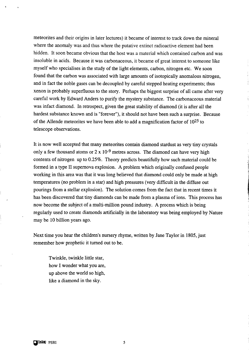meteorites and their origins in later lectures) it became of interest to track down the mineral where the anomaly was and thus where the putative extinct radioactive element had been hidden. It soon became obvious that the host was a material which contained carbon and was insoluble in acids. Because it was carbonaceous, it became of great interest to someone like myself who specialises in the study of the light elements, carbon, nitrogen etc. We soon found that the carbon was associated with large amounts of isotopicdly anomalous nitrogen, and in fact the noble gases can be decoupled by careful stepped heating experiments; thus xenon is probably superfluous to the story. Perhaps the biggest surprise of all came after very careful work by Edward Anders to purify the mystery substance. The carbonaceous material was infact diamond. In retrospect, given the great stability of diamond (it is after dl the hardest substance known and is "forever"), it should not have been such a surprise. Because of the Allende meteorites we have been able to add a magnification factor of  $10^{25}$  to telescope observations.

It is now well accepted that many meteorites contain diamond stardust as very tiny crystals only a few thousand atoms or  $2 \times 10^{-9}$  metres across. The diamond can have very high contents of nitrogen up to 0.25%. Theory predicts beautifully how such material could be formed in a type II supernova explosion. A problem which originally confised people working in this area was that it was long believed that diamond could only be made at high temperatures (no problem in a star) and high pressures (very difficult in the diffise out pourings from a stellar explosion). The solution comes from the fact that in recent times it has been discovered that tiny diamonds can be made from a plasma of ions. This process has now become the subject of a multi-million pound industry. A process which is being regularly used to create diamonds artificially in the laboratory was being employed by Nature may be 10 billion years ago.

Next time you hear the children's nursery rhyme, written by Jane Taylor in 1805, just remember how prophetic it turned out to be.

Twinkle, twinkle little star, how I wonder what you are, up above the world so high, like a diamond in the sky.

o

5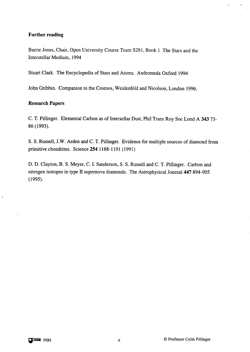#### **Further reading**

Barrie Jones, Chair, Open University Course TeamS281, Book 1 The Stars and the hterstellar Medium, 1994

Stuart Clark. The Encyclopedia of Stars and Atoms. Andromeda Oxford 1994

John Gribbin. Companion to the Cosmos, Weidenfeld and Nicolson, London 1996.

#### **Research Papers**

C. T. Pillinger. Elemental Carbon as of Intersellar Dust, Phil Trans Roy Soc Lond A 343 73-86 (1993).

S. S. Russell, J.W. Arden and C. T. Pillinger. Evidence for multiple sources of diamond from primitive chondrites. Science 2541188-1191 (1991)

D. D. Clayton, B. S. Meyer, C. I. Sanderson, S. S. Russell and C. T. Pillinger. Carbon and nitrogen isotopes in type II supernova diamonds. The Astrophysical Journal 447 894-905 (1995).

. ,,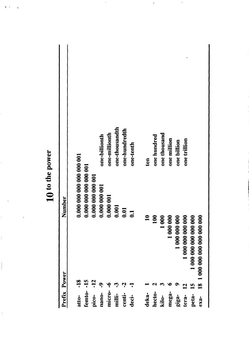|              |       |                       |                   |               |               | one-thousandth |               |                  |                |             |              |             |               |                   |                      |                             |
|--------------|-------|-----------------------|-------------------|---------------|---------------|----------------|---------------|------------------|----------------|-------------|--------------|-------------|---------------|-------------------|----------------------|-----------------------------|
|              |       |                       |                   | one-billionth | one-millionth |                | one-hundredth | one-tenth        | ten            | one hundred | one thousand | one million | one billion   | one trillion      |                      |                             |
| Number       |       | 0.000 000 000 000 001 | 0.000 000 000 001 | 0.000 000 001 | 0.000 001     | 0.001          | 0.01          | $\overline{0}$ . | $\blacksquare$ | 100         |              |             |               |                   |                      |                             |
|              |       |                       |                   |               |               |                |               |                  |                |             | 1 000        | 1 000 000   | 1 000 000 000 | 1 000 000 000 000 | 1000 000 000 000 000 | 00 000 000 000 000 000<br>٥ |
|              |       |                       |                   |               |               |                |               |                  |                |             |              |             |               |                   |                      | $\frac{8}{1}$               |
| Prefix Power | atto- | femto-                | pico-             | nano-         | micro-        | milli-         | centi-        | deci-            | deka-          | hecto-      | kilo-        | mega-       | giga-         | tera-             | peta-                | $exa-$                      |

 $\ddot{\phantom{0}}$ 

 $\boldsymbol{\varepsilon}$ 

 $\ddot{\phantom{a}}$ 

10 to the power

\*I,

 $\frac{1}{2}$ 

 $\frac{1}{2}$ 

 $\begin{array}{c} \begin{array}{c} \begin{array}{c} \end{array} \\ \begin{array}{c} \end{array} \end{array} \end{array}$ 

 $\frac{1}{2}$